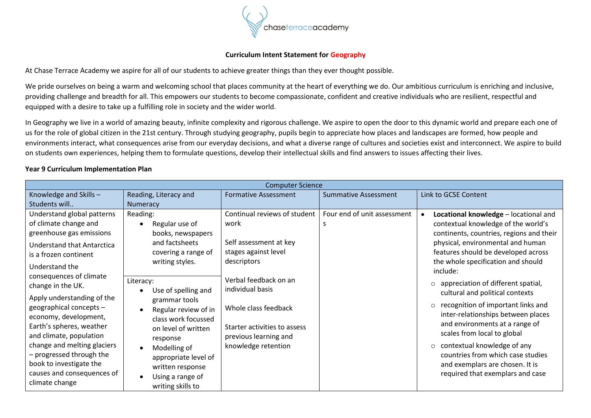

## **Curriculum Intent Statement for Geography**

At Chase Terrace Academy we aspire for all of our students to achieve greater things than they ever thought possible.

We pride ourselves on being a warm and welcoming school that places community at the heart of everything we do. Our ambitious curriculum is enriching and inclusive, providing challenge and breadth for all. This empowers our students to become compassionate, confident and creative individuals who are resilient, respectful and equipped with a desire to take up a fulfilling role in society and the wider world.

In Geography we live in a world of amazing beauty, infinite complexity and rigorous challenge. We aspire to open the door to this dynamic world and prepare each one of us for the role of global citizen in the 21st century. Through studying geography, pupils begin to appreciate how places and landscapes are formed, how people and environments interact, what consequences arise from our everyday decisions, and what a diverse range of cultures and societies exist and interconnect. We aspire to build on students own experiences, helping them to formulate questions, develop their intellectual skills and find answers to issues affecting their lives.

## **Year 9 Curriculum Implementation Plan**

| <b>Computer Science</b>                                                                                                                                                                                                                                                                                                                                                                                                                                                                        |                                                                                                                                                                                                                                                                                                                                                                                   |                                                                                                                                                                                                                                                            |                             |                                                                                                                                                                                                                                                                                                                                                                                                                                                                                                                                                                                                                                                    |
|------------------------------------------------------------------------------------------------------------------------------------------------------------------------------------------------------------------------------------------------------------------------------------------------------------------------------------------------------------------------------------------------------------------------------------------------------------------------------------------------|-----------------------------------------------------------------------------------------------------------------------------------------------------------------------------------------------------------------------------------------------------------------------------------------------------------------------------------------------------------------------------------|------------------------------------------------------------------------------------------------------------------------------------------------------------------------------------------------------------------------------------------------------------|-----------------------------|----------------------------------------------------------------------------------------------------------------------------------------------------------------------------------------------------------------------------------------------------------------------------------------------------------------------------------------------------------------------------------------------------------------------------------------------------------------------------------------------------------------------------------------------------------------------------------------------------------------------------------------------------|
| Knowledge and Skills-                                                                                                                                                                                                                                                                                                                                                                                                                                                                          | Reading, Literacy and                                                                                                                                                                                                                                                                                                                                                             | <b>Formative Assessment</b>                                                                                                                                                                                                                                | <b>Summative Assessment</b> | Link to GCSE Content                                                                                                                                                                                                                                                                                                                                                                                                                                                                                                                                                                                                                               |
| Students will                                                                                                                                                                                                                                                                                                                                                                                                                                                                                  | Numeracy                                                                                                                                                                                                                                                                                                                                                                          |                                                                                                                                                                                                                                                            |                             |                                                                                                                                                                                                                                                                                                                                                                                                                                                                                                                                                                                                                                                    |
| Understand global patterns<br>of climate change and<br>greenhouse gas emissions<br><b>Understand that Antarctica</b><br>is a frozen continent<br>Understand the<br>consequences of climate<br>change in the UK.<br>Apply understanding of the<br>geographical concepts -<br>economy, development,<br>Earth's spheres, weather<br>and climate, population<br>change and melting glaciers<br>- progressed through the<br>book to investigate the<br>causes and consequences of<br>climate change | Reading:<br>Regular use of<br>$\bullet$<br>books, newspapers<br>and factsheets<br>covering a range of<br>writing styles.<br>Literacy:<br>Use of spelling and<br>grammar tools<br>Regular review of in<br>class work focussed<br>on level of written<br>response<br>Modelling of<br>appropriate level of<br>written response<br>Using a range of<br>$\bullet$<br>writing skills to | Continual reviews of student<br>work<br>Self assessment at key<br>stages against level<br>descriptors<br>Verbal feedback on an<br>individual basis<br>Whole class feedback<br>Starter activities to assess<br>previous learning and<br>knowledge retention | Four end of unit assessment | Locational knowledge - locational and<br>contextual knowledge of the world's<br>continents, countries, regions and their<br>physical, environmental and human<br>features should be developed across<br>the whole specification and should<br>include:<br>$\circ$ appreciation of different spatial,<br>cultural and political contexts<br>recognition of important links and<br>$\circ$<br>inter-relationships between places<br>and environments at a range of<br>scales from local to global<br>$\circ$ contextual knowledge of any<br>countries from which case studies<br>and exemplars are chosen. It is<br>required that exemplars and case |